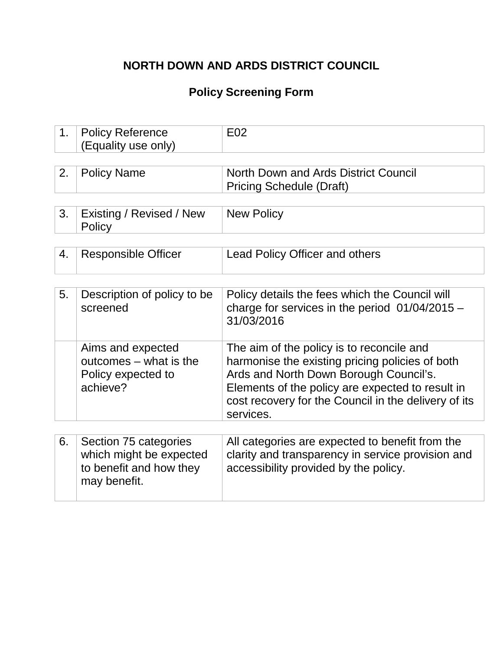## **NORTH DOWN AND ARDS DISTRICT COUNCIL**

## **Policy Screening Form**

| 1. | <b>Policy Reference</b><br>(Equality use only)                                              | E <sub>02</sub>                                                                                                                                                                                                                                                 |
|----|---------------------------------------------------------------------------------------------|-----------------------------------------------------------------------------------------------------------------------------------------------------------------------------------------------------------------------------------------------------------------|
| 2. | <b>Policy Name</b>                                                                          | North Down and Ards District Council<br><b>Pricing Schedule (Draft)</b>                                                                                                                                                                                         |
| 3. | Existing / Revised / New<br>Policy                                                          | <b>New Policy</b>                                                                                                                                                                                                                                               |
| 4. | <b>Responsible Officer</b>                                                                  | Lead Policy Officer and others                                                                                                                                                                                                                                  |
|    |                                                                                             |                                                                                                                                                                                                                                                                 |
| 5. | Description of policy to be<br>screened                                                     | Policy details the fees which the Council will<br>charge for services in the period $01/04/2015$ -<br>31/03/2016                                                                                                                                                |
|    | Aims and expected<br>outcomes – what is the<br>Policy expected to<br>achieve?               | The aim of the policy is to reconcile and<br>harmonise the existing pricing policies of both<br>Ards and North Down Borough Council's.<br>Elements of the policy are expected to result in<br>cost recovery for the Council in the delivery of its<br>services. |
|    |                                                                                             |                                                                                                                                                                                                                                                                 |
| 6. | Section 75 categories<br>which might be expected<br>to benefit and how they<br>may benefit. | All categories are expected to benefit from the<br>clarity and transparency in service provision and<br>accessibility provided by the policy.                                                                                                                   |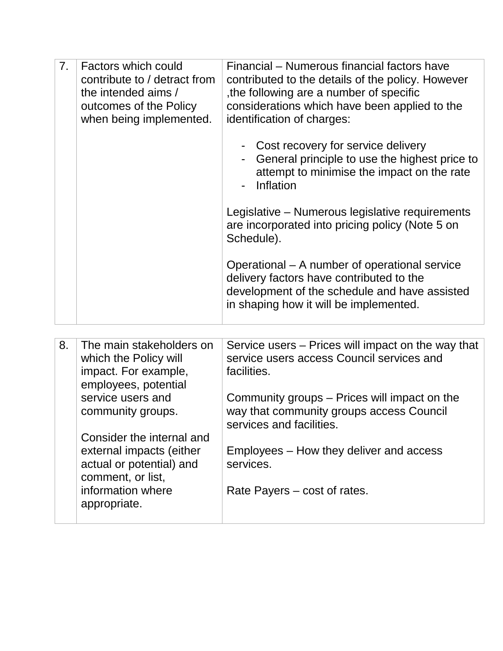| 7 <sub>1</sub> | Factors which could<br>contribute to / detract from<br>the intended aims /<br>outcomes of the Policy<br>when being implemented. | Financial – Numerous financial factors have<br>contributed to the details of the policy. However<br>the following are a number of specific<br>considerations which have been applied to the<br>identification of charges: |
|----------------|---------------------------------------------------------------------------------------------------------------------------------|---------------------------------------------------------------------------------------------------------------------------------------------------------------------------------------------------------------------------|
|                |                                                                                                                                 | Cost recovery for service delivery<br>General principle to use the highest price to<br>attempt to minimise the impact on the rate<br>Inflation                                                                            |
|                |                                                                                                                                 | Legislative – Numerous legislative requirements<br>are incorporated into pricing policy (Note 5 on<br>Schedule).                                                                                                          |
|                |                                                                                                                                 | Operational – A number of operational service<br>delivery factors have contributed to the<br>development of the schedule and have assisted<br>in shaping how it will be implemented.                                      |

| 8. | The main stakeholders on  | Service users – Prices will impact on the way that |
|----|---------------------------|----------------------------------------------------|
|    |                           |                                                    |
|    | which the Policy will     | service users access Council services and          |
|    | impact. For example,      | facilities.                                        |
|    | employees, potential      |                                                    |
|    | service users and         | Community groups – Prices will impact on the       |
|    | community groups.         | way that community groups access Council           |
|    |                           | services and facilities.                           |
|    |                           |                                                    |
|    | Consider the internal and |                                                    |
|    | external impacts (either  | Employees – How they deliver and access            |
|    | actual or potential) and  | services.                                          |
|    | comment, or list,         |                                                    |
|    | information where         |                                                    |
|    |                           | Rate Payers – cost of rates.                       |
|    | appropriate.              |                                                    |
|    |                           |                                                    |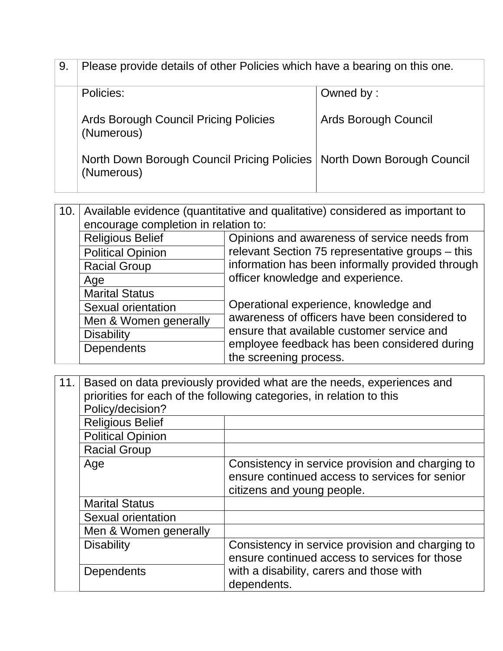| 9. | Please provide details of other Policies which have a bearing on this one.             |                      |  |
|----|----------------------------------------------------------------------------------------|----------------------|--|
|    | Policies:                                                                              | Owned by:            |  |
|    | Ards Borough Council Pricing Policies<br>(Numerous)                                    | Ards Borough Council |  |
|    | North Down Borough Council Pricing Policies   North Down Borough Council<br>(Numerous) |                      |  |

10. Available evidence (quantitative and qualitative) considered as important to encourage completion in relation to: Religious Belief **Containery Communist Contract Propension** Religious Belief **Contract Contract Propensis** Contract Propensia Religious Belief Religious Belief **Contract Propensis** Religious Belief Religious Belief Religio relevant Section 75 representative groups – this information has been informally provided through officer knowledge and experience. Operational experience, knowledge and awareness of officers have been considered to ensure that available customer service and employee feedback has been considered during the screening process. Political Opinion Racial Group Age Marital Status Sexual orientation Men & Women generally **Disability Dependents** 

11. Based on data previously provided what are the needs, experiences and priorities for each of the following categories, in relation to this Policy/decision? Religious Belief Political Opinion Racial Group Age Consistency in service provision and charging to ensure continued access to services for senior citizens and young people. Marital Status Sexual orientation Men & Women generally Disability **Consistency** in service provision and charging to ensure continued access to services for those with a disability, carers and those with dependents. **Dependents**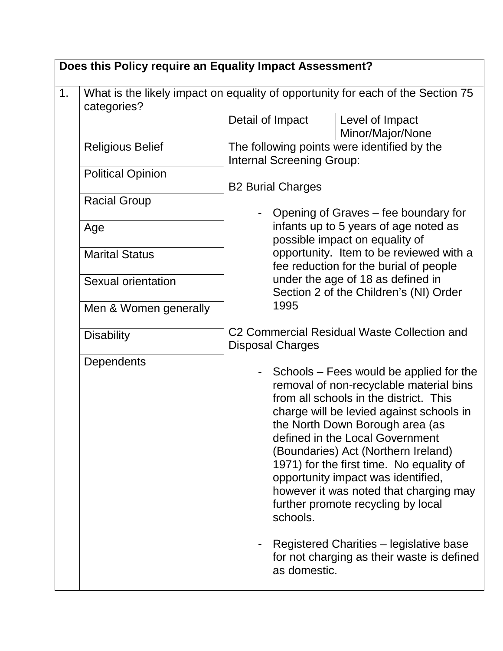|    | Does this Policy require an Equality Impact Assessment? |                                                                                                                                                                                                                                                                                                                                                                                                                                                                                                                                                                                |  |  |
|----|---------------------------------------------------------|--------------------------------------------------------------------------------------------------------------------------------------------------------------------------------------------------------------------------------------------------------------------------------------------------------------------------------------------------------------------------------------------------------------------------------------------------------------------------------------------------------------------------------------------------------------------------------|--|--|
| 1. | categories?                                             | What is the likely impact on equality of opportunity for each of the Section 75                                                                                                                                                                                                                                                                                                                                                                                                                                                                                                |  |  |
|    |                                                         | Detail of Impact<br>Level of Impact<br>Minor/Major/None                                                                                                                                                                                                                                                                                                                                                                                                                                                                                                                        |  |  |
|    | <b>Religious Belief</b>                                 | The following points were identified by the<br><b>Internal Screening Group:</b>                                                                                                                                                                                                                                                                                                                                                                                                                                                                                                |  |  |
|    | <b>Political Opinion</b>                                | <b>B2 Burial Charges</b>                                                                                                                                                                                                                                                                                                                                                                                                                                                                                                                                                       |  |  |
|    | <b>Racial Group</b>                                     | Opening of Graves – fee boundary for                                                                                                                                                                                                                                                                                                                                                                                                                                                                                                                                           |  |  |
|    | Age                                                     | infants up to 5 years of age noted as<br>possible impact on equality of                                                                                                                                                                                                                                                                                                                                                                                                                                                                                                        |  |  |
|    | <b>Marital Status</b>                                   | opportunity. Item to be reviewed with a<br>fee reduction for the burial of people                                                                                                                                                                                                                                                                                                                                                                                                                                                                                              |  |  |
|    | Sexual orientation                                      | under the age of 18 as defined in<br>Section 2 of the Children's (NI) Order                                                                                                                                                                                                                                                                                                                                                                                                                                                                                                    |  |  |
|    | Men & Women generally                                   | 1995                                                                                                                                                                                                                                                                                                                                                                                                                                                                                                                                                                           |  |  |
|    | <b>Disability</b>                                       | C2 Commercial Residual Waste Collection and<br><b>Disposal Charges</b>                                                                                                                                                                                                                                                                                                                                                                                                                                                                                                         |  |  |
|    | <b>Dependents</b>                                       | - Schools – Fees would be applied for the<br>removal of non-recyclable material bins<br>from all schools in the district. This<br>charge will be levied against schools in<br>the North Down Borough area (as<br>defined in the Local Government<br>(Boundaries) Act (Northern Ireland)<br>1971) for the first time. No equality of<br>opportunity impact was identified,<br>however it was noted that charging may<br>further promote recycling by local<br>schools.<br>Registered Charities - legislative base<br>for not charging as their waste is defined<br>as domestic. |  |  |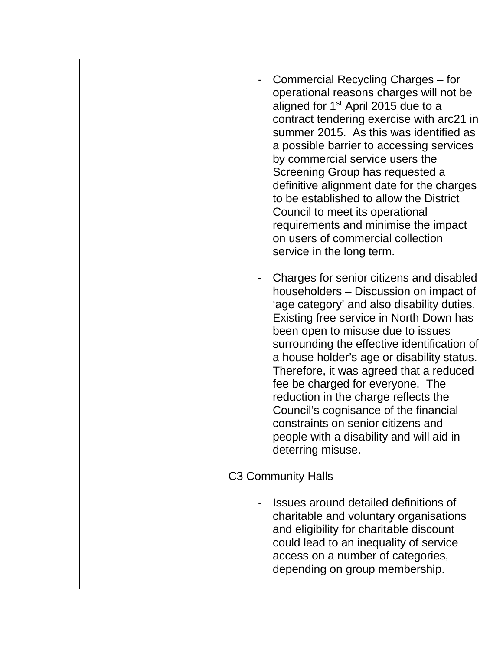|  | Commercial Recycling Charges – for<br>operational reasons charges will not be<br>aligned for 1 <sup>st</sup> April 2015 due to a<br>contract tendering exercise with arc21 in<br>summer 2015. As this was identified as<br>a possible barrier to accessing services<br>by commercial service users the<br>Screening Group has requested a<br>definitive alignment date for the charges<br>to be established to allow the District<br>Council to meet its operational<br>requirements and minimise the impact<br>on users of commercial collection<br>service in the long term.       |
|--|--------------------------------------------------------------------------------------------------------------------------------------------------------------------------------------------------------------------------------------------------------------------------------------------------------------------------------------------------------------------------------------------------------------------------------------------------------------------------------------------------------------------------------------------------------------------------------------|
|  | Charges for senior citizens and disabled<br>householders - Discussion on impact of<br>'age category' and also disability duties.<br>Existing free service in North Down has<br>been open to misuse due to issues<br>surrounding the effective identification of<br>a house holder's age or disability status.<br>Therefore, it was agreed that a reduced<br>fee be charged for everyone. The<br>reduction in the charge reflects the<br>Council's cognisance of the financial<br>constraints on senior citizens and<br>people with a disability and will aid in<br>deterring misuse. |
|  | <b>C3 Community Halls</b>                                                                                                                                                                                                                                                                                                                                                                                                                                                                                                                                                            |
|  | Issues around detailed definitions of<br>charitable and voluntary organisations<br>and eligibility for charitable discount<br>could lead to an inequality of service<br>access on a number of categories,<br>depending on group membership.                                                                                                                                                                                                                                                                                                                                          |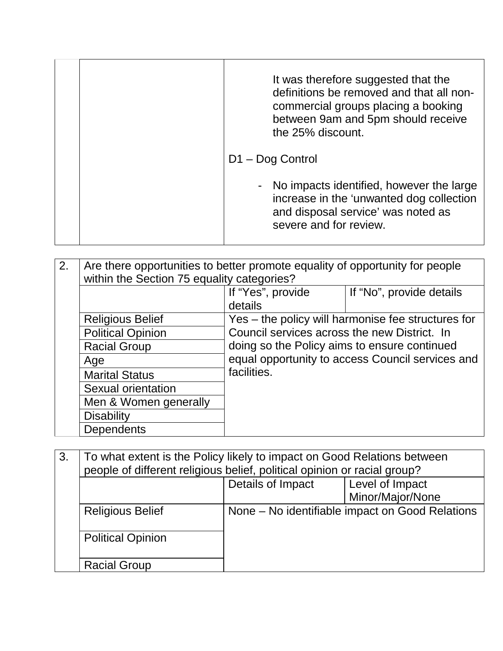|  | It was therefore suggested that the<br>definitions be removed and that all non-<br>commercial groups placing a booking<br>between 9am and 5pm should receive<br>the 25% discount. |
|--|-----------------------------------------------------------------------------------------------------------------------------------------------------------------------------------|
|  | $D1 - Dog Control$                                                                                                                                                                |
|  | - No impacts identified, however the large<br>increase in the 'unwanted dog collection<br>and disposal service' was noted as<br>severe and for review.                            |

| 2. | Are there opportunities to better promote equality of opportunity for people<br>within the Section 75 equality categories? |                                                                                                                                                  |                                                    |
|----|----------------------------------------------------------------------------------------------------------------------------|--------------------------------------------------------------------------------------------------------------------------------------------------|----------------------------------------------------|
|    |                                                                                                                            | If "Yes", provide<br>details                                                                                                                     | If "No", provide details                           |
|    | <b>Religious Belief</b>                                                                                                    |                                                                                                                                                  | Yes – the policy will harmonise fee structures for |
|    | <b>Political Opinion</b>                                                                                                   | Council services across the new District. In<br>doing so the Policy aims to ensure continued<br>equal opportunity to access Council services and |                                                    |
|    | <b>Racial Group</b>                                                                                                        |                                                                                                                                                  |                                                    |
|    | Age                                                                                                                        |                                                                                                                                                  |                                                    |
|    | <b>Marital Status</b>                                                                                                      | facilities.                                                                                                                                      |                                                    |
|    | Sexual orientation                                                                                                         |                                                                                                                                                  |                                                    |
|    | Men & Women generally                                                                                                      |                                                                                                                                                  |                                                    |
|    | <b>Disability</b>                                                                                                          |                                                                                                                                                  |                                                    |
|    | <b>Dependents</b>                                                                                                          |                                                                                                                                                  |                                                    |

| 3. | To what extent is the Policy likely to impact on Good Relations between<br>people of different religious belief, political opinion or racial group? |                   |                                                 |
|----|-----------------------------------------------------------------------------------------------------------------------------------------------------|-------------------|-------------------------------------------------|
|    |                                                                                                                                                     |                   |                                                 |
|    |                                                                                                                                                     | Details of Impact | Level of Impact                                 |
|    |                                                                                                                                                     |                   | Minor/Major/None                                |
|    | <b>Religious Belief</b>                                                                                                                             |                   | None – No identifiable impact on Good Relations |
|    | <b>Political Opinion</b>                                                                                                                            |                   |                                                 |
|    | <b>Racial Group</b>                                                                                                                                 |                   |                                                 |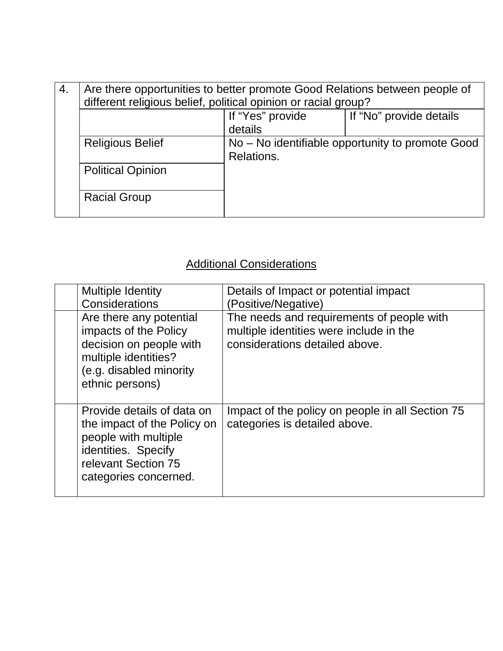| 4.                      | Are there opportunities to better promote Good Relations between people of<br>different religious belief, political opinion or racial group? |                                                                |                         |
|-------------------------|----------------------------------------------------------------------------------------------------------------------------------------------|----------------------------------------------------------------|-------------------------|
|                         |                                                                                                                                              | If "Yes" provide<br>details                                    | If "No" provide details |
| <b>Religious Belief</b> |                                                                                                                                              | No – No identifiable opportunity to promote Good<br>Relations. |                         |
|                         | <b>Political Opinion</b>                                                                                                                     |                                                                |                         |
|                         | <b>Racial Group</b>                                                                                                                          |                                                                |                         |

## Additional Considerations

| <b>Multiple Identity</b><br>Considerations                                                                                                               | Details of Impact or potential impact<br>(Positive/Negative)                                                           |
|----------------------------------------------------------------------------------------------------------------------------------------------------------|------------------------------------------------------------------------------------------------------------------------|
| Are there any potential<br>impacts of the Policy<br>decision on people with<br>multiple identities?<br>(e.g. disabled minority<br>ethnic persons)        | The needs and requirements of people with<br>multiple identities were include in the<br>considerations detailed above. |
| Provide details of data on<br>the impact of the Policy on<br>people with multiple<br>identities. Specify<br>relevant Section 75<br>categories concerned. | Impact of the policy on people in all Section 75<br>categories is detailed above.                                      |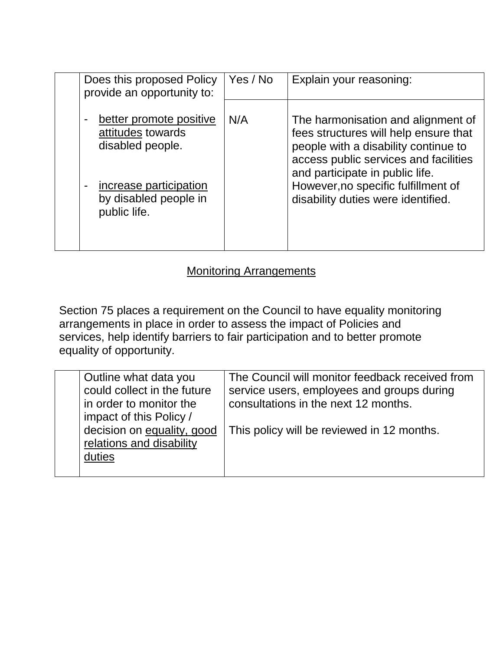| Does this proposed Policy<br>provide an opportunity to:                                                                                                                 | Yes / No | Explain your reasoning:                                                                                                                                                                                                                                                      |
|-------------------------------------------------------------------------------------------------------------------------------------------------------------------------|----------|------------------------------------------------------------------------------------------------------------------------------------------------------------------------------------------------------------------------------------------------------------------------------|
| better promote positive<br>$\blacksquare$<br>attitudes towards<br>disabled people.<br>increase participation<br>$\blacksquare$<br>by disabled people in<br>public life. | N/A      | The harmonisation and alignment of<br>fees structures will help ensure that<br>people with a disability continue to<br>access public services and facilities<br>and participate in public life.<br>However, no specific fulfillment of<br>disability duties were identified. |
|                                                                                                                                                                         |          |                                                                                                                                                                                                                                                                              |

#### Monitoring Arrangements

Section 75 places a requirement on the Council to have equality monitoring arrangements in place in order to assess the impact of Policies and services, help identify barriers to fair participation and to better promote equality of opportunity.

| Outline what data you<br>could collect in the future<br>in order to monitor the<br>impact of this Policy / | The Council will monitor feedback received from<br>service users, employees and groups during<br>consultations in the next 12 months. |
|------------------------------------------------------------------------------------------------------------|---------------------------------------------------------------------------------------------------------------------------------------|
| decision on equality, good<br>relations and disability<br>duties                                           | This policy will be reviewed in 12 months.                                                                                            |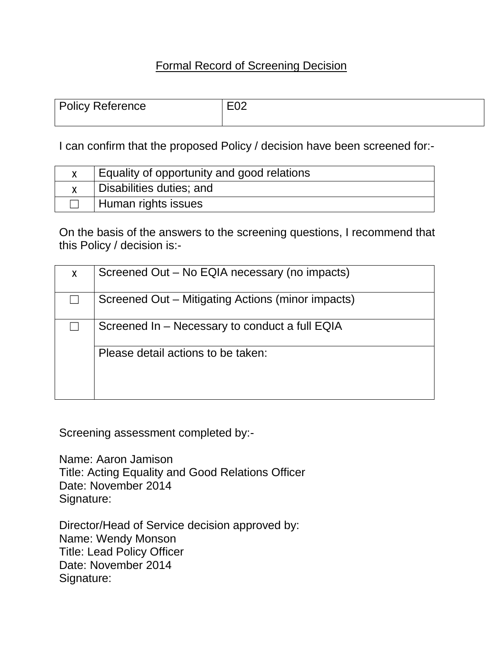#### Formal Record of Screening Decision

| Policy Reference | E <sub>02</sub> |
|------------------|-----------------|
|                  |                 |

I can confirm that the proposed Policy / decision have been screened for:-

| Equality of opportunity and good relations |
|--------------------------------------------|
| Disabilities duties; and                   |
| Human rights issues                        |

On the basis of the answers to the screening questions, I recommend that this Policy / decision is:-

| X | Screened Out – No EQIA necessary (no impacts)     |
|---|---------------------------------------------------|
|   | Screened Out – Mitigating Actions (minor impacts) |
|   | Screened In – Necessary to conduct a full EQIA    |
|   | Please detail actions to be taken:                |

Screening assessment completed by:-

Name: Aaron Jamison Title: Acting Equality and Good Relations Officer Date: November 2014 Signature:

Director/Head of Service decision approved by: Name: Wendy Monson Title: Lead Policy Officer Date: November 2014 Signature: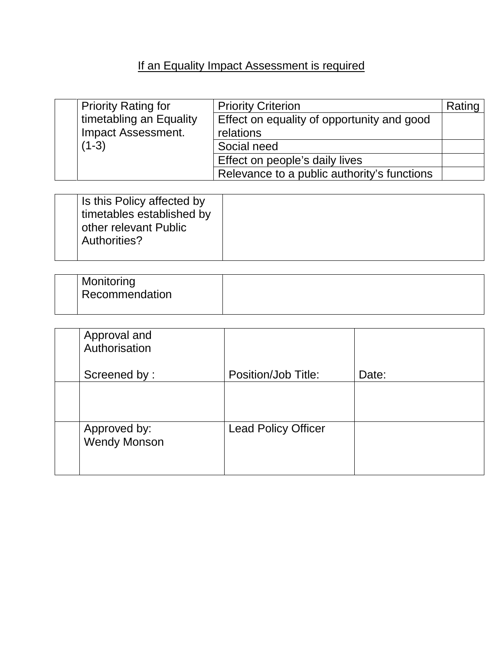# If an Equality Impact Assessment is required

| <b>Priority Rating for</b> | <b>Priority Criterion</b>                   | Rating ' |
|----------------------------|---------------------------------------------|----------|
| timetabling an Equality    | Effect on equality of opportunity and good  |          |
| <b>Impact Assessment.</b>  | relations                                   |          |
| $(1-3)$                    | Social need                                 |          |
|                            | Effect on people's daily lives              |          |
|                            | Relevance to a public authority's functions |          |

| Is this Policy affected by<br>timetables established by<br>other relevant Public<br>Authorities? |
|--------------------------------------------------------------------------------------------------|
|--------------------------------------------------------------------------------------------------|

| Monitoring<br><b>Recommendation</b> |  |
|-------------------------------------|--|
|-------------------------------------|--|

| Approval and<br>Authorisation       |                            |       |
|-------------------------------------|----------------------------|-------|
| Screened by:                        | Position/Job Title:        | Date: |
|                                     |                            |       |
| Approved by:<br><b>Wendy Monson</b> | <b>Lead Policy Officer</b> |       |